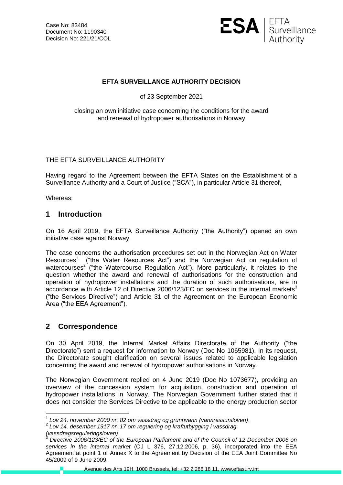

### **EFTA SURVEILLANCE AUTHORITY DECISION**

of 23 September 2021

#### closing an own initiative case concerning the conditions for the award and renewal of hydropower authorisations in Norway

#### THE EFTA SURVEILLANCE AUTHORITY

Having regard to the Agreement between the EFTA States on the Establishment of a Surveillance Authority and a Court of Justice ("SCA"), in particular Article 31 thereof,

Whereas:

### **1 Introduction**

On 16 April 2019, the EFTA Surveillance Authority ("the Authority") opened an own initiative case against Norway.

The case concerns the authorisation procedures set out in the Norwegian Act on Water Resources<sup>1</sup> ("the Water Resources Act") and the Norwegian Act on regulation of watercourses<sup>2</sup> ("the Watercourse Regulation Act"). More particularly, it relates to the question whether the award and renewal of authorisations for the construction and operation of hydropower installations and the duration of such authorisations, are in accordance with Article 12 of Directive 2006/123/EC on services in the internal markets<sup>3</sup> ("the Services Directive") and Article 31 of the Agreement on the European Economic Area ("the EEA Agreement").

## **2 Correspondence**

On 30 April 2019, the Internal Market Affairs Directorate of the Authority ("the Directorate") sent a request for information to Norway (Doc No 1065981). In its request, the Directorate sought clarification on several issues related to applicable legislation concerning the award and renewal of hydropower authorisations in Norway.

The Norwegian Government replied on 4 June 2019 (Doc No 1073677), providing an overview of the concession system for acquisition, construction and operation of hydropower installations in Norway. The Norwegian Government further stated that it does not consider the Services Directive to be applicable to the energy production sector

Avenue des Arts 19H, 1000 Brussels, tel: +32 2 286 18 11, www.eftasurv.int

 1 *Lov 24. november 2000 nr. 82 om vassdrag og grunnvann (vannressursloven)*.

<sup>2</sup> *Lov 14. desember 1917 nr. 17 om regulering og kraftutbygging i vassdrag (vassdragsreguleringsloven)*.

<sup>3</sup> *Directive 2006/123/EC of the European Parliament and of the Council of 12 December 2006 on services in the internal market* (OJ L 376, 27.12.2006, p. 36), incorporated into the EEA Agreement at point 1 of Annex X to the Agreement by Decision of the EEA Joint Committee No 45/2009 of 9 June 2009.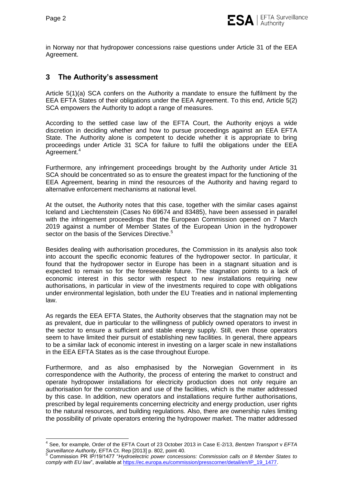in Norway nor that hydropower concessions raise questions under Article 31 of the EEA Agreement.

# **3 The Authority's assessment**

Article 5(1)(a) SCA confers on the Authority a mandate to ensure the fulfilment by the EEA EFTA States of their obligations under the EEA Agreement. To this end, Article 5(2) SCA empowers the Authority to adopt a range of measures.

According to the settled case law of the EFTA Court, the Authority enjoys a wide discretion in deciding whether and how to pursue proceedings against an EEA EFTA State. The Authority alone is competent to decide whether it is appropriate to bring proceedings under Article 31 SCA for failure to fulfil the obligations under the EEA Agreement.<sup>4</sup>

Furthermore, any infringement proceedings brought by the Authority under Article 31 SCA should be concentrated so as to ensure the greatest impact for the functioning of the EEA Agreement, bearing in mind the resources of the Authority and having regard to alternative enforcement mechanisms at national level.

At the outset, the Authority notes that this case, together with the similar cases against Iceland and Liechtenstein (Cases No 69674 and 83485), have been assessed in parallel with the infringement proceedings that the European Commission opened on 7 March 2019 against a number of Member States of the European Union in the hydropower sector on the basis of the Services Directive.<sup>5</sup>

Besides dealing with authorisation procedures, the Commission in its analysis also took into account the specific economic features of the hydropower sector. In particular, it found that the hydropower sector in Europe has been in a stagnant situation and is expected to remain so for the foreseeable future. The stagnation points to a lack of economic interest in this sector with respect to new installations requiring new authorisations, in particular in view of the investments required to cope with obligations under environmental legislation, both under the EU Treaties and in national implementing law.

As regards the EEA EFTA States, the Authority observes that the stagnation may not be as prevalent, due in particular to the willingness of publicly owned operators to invest in the sector to ensure a sufficient and stable energy supply. Still, even those operators seem to have limited their pursuit of establishing new facilities. In general, there appears to be a similar lack of economic interest in investing on a larger scale in new installations in the EEA EFTA States as is the case throughout Europe.

Furthermore, and as also emphasised by the Norwegian Government in its correspondence with the Authority, the process of entering the market to construct and operate hydropower installations for electricity production does not only require an authorisation for the construction and use of the facilities, which is the matter addressed by this case. In addition, new operators and installations require further authorisations, prescribed by legal requirements concerning electricity and energy production, user rights to the natural resources, and building regulations. Also, there are ownership rules limiting the possibility of private operators entering the hydropower market. The matter addressed

 $\overline{\phantom{a}}$ 4 See, for example, Order of the EFTA Court of 23 October 2013 in Case E-2/13, *Bentzen Transport* v *EFTA Surveillance Authority*, EFTA Ct. Rep [2013] p. 802, point 40.

<sup>5</sup> Commission PR IP/19/1477 "*Hydroelectric power concessions: Commission calls on 8 Member States to*  comply with EU law", available a[t https://ec.europa.eu/commission/presscorner/detail/en/IP\\_19\\_1477.](https://ec.europa.eu/commission/presscorner/detail/en/IP_19_1477)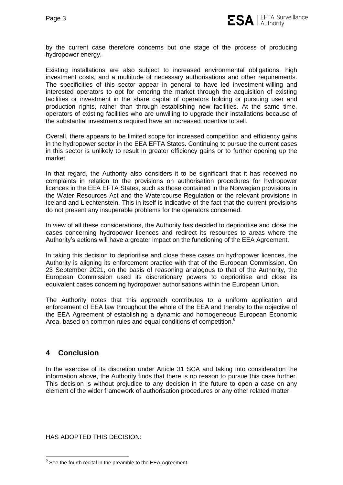

by the current case therefore concerns but one stage of the process of producing hydropower energy.

Existing installations are also subject to increased environmental obligations, high investment costs, and a multitude of necessary authorisations and other requirements. The specificities of this sector appear in general to have led investment-willing and interested operators to opt for entering the market through the acquisition of existing facilities or investment in the share capital of operators holding or pursuing user and production rights, rather than through establishing new facilities. At the same time, operators of existing facilities who are unwilling to upgrade their installations because of the substantial investments required have an increased incentive to sell.

Overall, there appears to be limited scope for increased competition and efficiency gains in the hydropower sector in the EEA EFTA States. Continuing to pursue the current cases in this sector is unlikely to result in greater efficiency gains or to further opening up the market.

In that regard, the Authority also considers it to be significant that it has received no complaints in relation to the provisions on authorisation procedures for hydropower licences in the EEA EFTA States, such as those contained in the Norwegian provisions in the Water Resources Act and the Watercourse Regulation or the relevant provisions in Iceland and Liechtenstein. This in itself is indicative of the fact that the current provisions do not present any insuperable problems for the operators concerned.

In view of all these considerations, the Authority has decided to deprioritise and close the cases concerning hydropower licences and redirect its resources to areas where the Authority's actions will have a greater impact on the functioning of the EEA Agreement.

In taking this decision to deprioritise and close these cases on hydropower licences, the Authority is aligning its enforcement practice with that of the European Commission. On 23 September 2021, on the basis of reasoning analogous to that of the Authority, the European Commission used its discretionary powers to deprioritise and close its equivalent cases concerning hydropower authorisations within the European Union.

The Authority notes that this approach contributes to a uniform application and enforcement of EEA law throughout the whole of the EEA and thereby to the objective of the EEA Agreement of establishing a dynamic and homogeneous European Economic Area, based on common rules and equal conditions of competition.<sup>6</sup>

## **4 Conclusion**

In the exercise of its discretion under Article 31 SCA and taking into consideration the information above, the Authority finds that there is no reason to pursue this case further. This decision is without prejudice to any decision in the future to open a case on any element of the wider framework of authorisation procedures or any other related matter.

HAS ADOPTED THIS DECISION:

**ENEVALUA CONCOCOLOGOT CONCOCOLOGOT CONCOCOLOGOT CONCOCOLOGOT CONCOCOLOGOT CONCOCOLOGOT CONCOCOLOGOT CONCOCOLOGOT CONCOCOLOGOT CONCOCOLOGOT CONCOCOLOGOT CONCOCOLOGOT CONCOCOLOGOT CONCOCOLOGOT CONCOCOLOGOT CONCOCOLOGOT CONC**